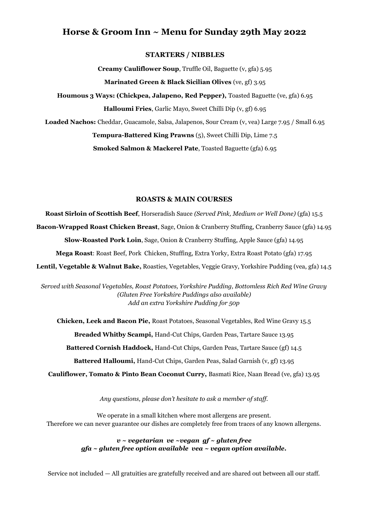# **Horse & Groom Inn ~ Menu for Sunday 29th May 2022**

## **STARTERS / NIBBLES**

**Creamy Cauliflower Soup**, Truffle Oil, Baguette (v, gfa) 5.95

**Marinated Green & Black Sicilian Olives** (ve, gf) 3.95

**Houmous 3 Ways: (Chickpea, Jalapeno, Red Pepper),** Toasted Baguette (ve, gfa) 6.95 **Halloumi Fries**, Garlic Mayo, Sweet Chilli Dip (v, gf) 6.95

**Loaded Nachos:** Cheddar, Guacamole, Salsa, Jalapenos, Sour Cream (v, vea) Large 7.95 / Small 6.95

**Tempura-Battered King Prawns** (5), Sweet Chilli Dip, Lime 7.5

**Smoked Salmon & Mackerel Pate**, Toasted Baguette (gfa) 6.95

# **ROASTS & MAIN COURSES**

**Roast Sirloin of Scottish Beef**, Horseradish Sauce *(Served Pink, Medium or Well Done)* (gfa) 15.5 **Bacon-Wrapped Roast Chicken Breast**, Sage, Onion & Cranberry Stuffing, Cranberry Sauce (gfa) 14.95 **Slow-Roasted Pork Loin**, Sage, Onion & Cranberry Stuffing, Apple Sauce (gfa) 14.95 **Mega Roast**: Roast Beef, Pork Chicken, Stuffing, Extra Yorky, Extra Roast Potato (gfa) 17.95 **Lentil, Vegetable & Walnut Bake,** Roasties, Vegetables, Veggie Gravy, Yorkshire Pudding (vea, gfa) 14.5

*Served with Seasonal Vegetables, Roast Potatoes, Yorkshire Pudding, Bottomless Rich Red Wine Gravy (Gluten Free Yorkshire Puddings also available) Add an extra Yorkshire Pudding for 50p*

**Chicken, Leek and Bacon Pie,** Roast Potatoes, Seasonal Vegetables, Red Wine Gravy 15.5 **Breaded Whitby Scampi,** Hand-Cut Chips, Garden Peas, Tartare Sauce 13.95 **Battered Cornish Haddock,** Hand-Cut Chips, Garden Peas, Tartare Sauce (gf) 14.5 **Battered Halloumi,** Hand-Cut Chips, Garden Peas, Salad Garnish (v, gf) 13.95 **Cauliflower, Tomato & Pinto Bean Coconut Curry,** Basmati Rice, Naan Bread (ve, gfa) 13.95

*Any questions, please don't hesitate to ask a member of staff.* 

We operate in a small kitchen where most allergens are present. Therefore we can never guarantee our dishes are completely free from traces of any known allergens.

> *v ~ vegetarian ve ~vegan gf ~ gluten free gfa ~ gluten free option available vea ~ vegan option available.*

Service not included — All gratuities are gratefully received and are shared out between all our staff.